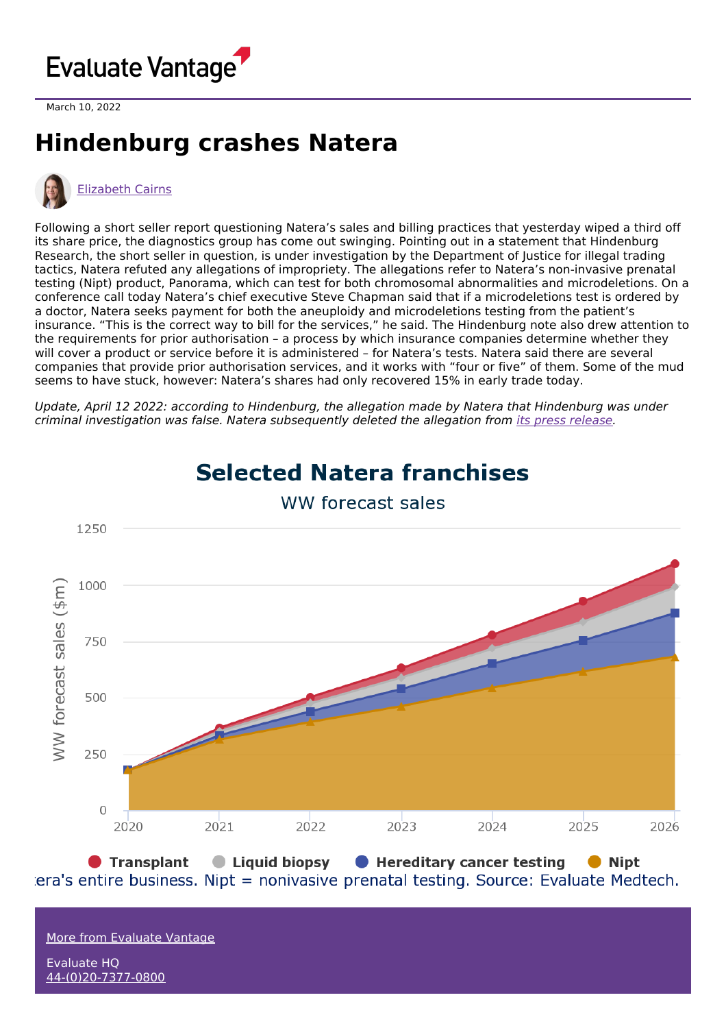

March 10, 2022

## **Hindenburg crashes Natera**



## [Elizabeth](https://www.evaluate.com/vantage/editorial-team/elizabeth-cairns) Cairns

Following a short seller report questioning Natera's sales and billing practices that yesterday wiped a third off its share price, the diagnostics group has come out swinging. Pointing out in a statement that Hindenburg Research, the short seller in question, is under investigation by the Department of Justice for illegal trading tactics, Natera refuted any allegations of impropriety. The allegations refer to Natera's non-invasive prenatal testing (Nipt) product, Panorama, which can test for both chromosomal abnormalities and microdeletions. On a conference call today Natera's chief executive Steve Chapman said that if a microdeletions test is ordered by a doctor, Natera seeks payment for both the aneuploidy and microdeletions testing from the patient's insurance. "This is the correct way to bill for the services," he said. The Hindenburg note also drew attention to the requirements for prior authorisation – a process by which insurance companies determine whether they will cover a product or service before it is administered – for Natera's tests. Natera said there are several companies that provide prior authorisation services, and it works with "four or five" of them. Some of the mud seems to have stuck, however: Natera's shares had only recovered 15% in early trade today.

Update, April 12 2022: according to Hindenburg, the allegation made by Natera that Hindenburg was under criminal investigation was false. Natera subsequently deleted the allegation from its press [release](https://www.prnewswire.com/news-releases/natera-responds-to-misleading-short-seller-report-301499411.html).



## **Selected Natera franchises** WW forecast sales

● Transplant Liquid biopsy Hereditary cancer testing • Nipt era's entire business. Nipt = nonivasive prenatal testing. Source: Evaluate Medtech.

More from [Evaluate](https://www.evaluate.com/vantage) Vantage

Evaluate HQ [44-\(0\)20-7377-0800](tel:+44(0)20-7377-0800)